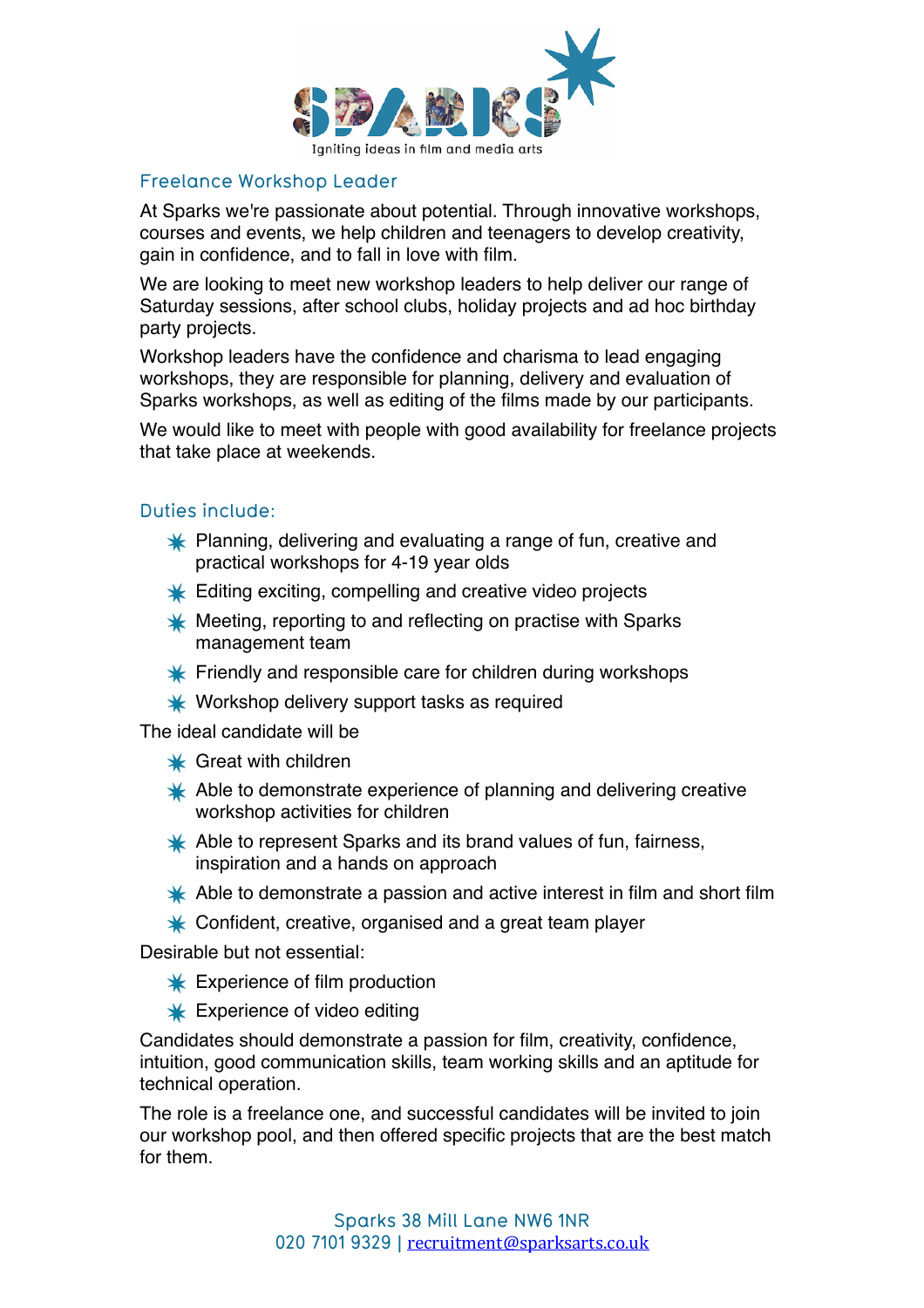

## Freelance Workshop Leader

At Sparks we're passionate about potential. Through innovative workshops, courses and events, we help children and teenagers to develop creativity, gain in confidence, and to fall in love with film.

We are looking to meet new workshop leaders to help deliver our range of Saturday sessions, after school clubs, holiday projects and ad hoc birthday party projects.

Workshop leaders have the confidence and charisma to lead engaging workshops, they are responsible for planning, delivery and evaluation of Sparks workshops, as well as editing of the films made by our participants.

We would like to meet with people with good availability for freelance projects that take place at weekends.

## Duties include:

- **X** Planning, delivering and evaluating a range of fun, creative and practical workshops for 4-19 year olds
- **K** Editing exciting, compelling and creative video projects
- $*$  Meeting, reporting to and reflecting on practise with Sparks management team
- $\ast$  Friendly and responsible care for children during workshops
- Workshop delivery support tasks as required

The ideal candidate will be

- $\star$  Great with children
- Able to demonstrate experience of planning and delivering creative workshop activities for children
- Able to represent Sparks and its brand values of fun, fairness, inspiration and a hands on approach
- Able to demonstrate a passion and active interest in film and short film
- ← Confident, creative, organised and a great team player

Desirable but not essential:

- **K** Experience of film production
- **K** Experience of video editing

Candidates should demonstrate a passion for film, creativity, confidence, intuition, good communication skills, team working skills and an aptitude for technical operation.

The role is a freelance one, and successful candidates will be invited to join our workshop pool, and then offered specific projects that are the best match for them.